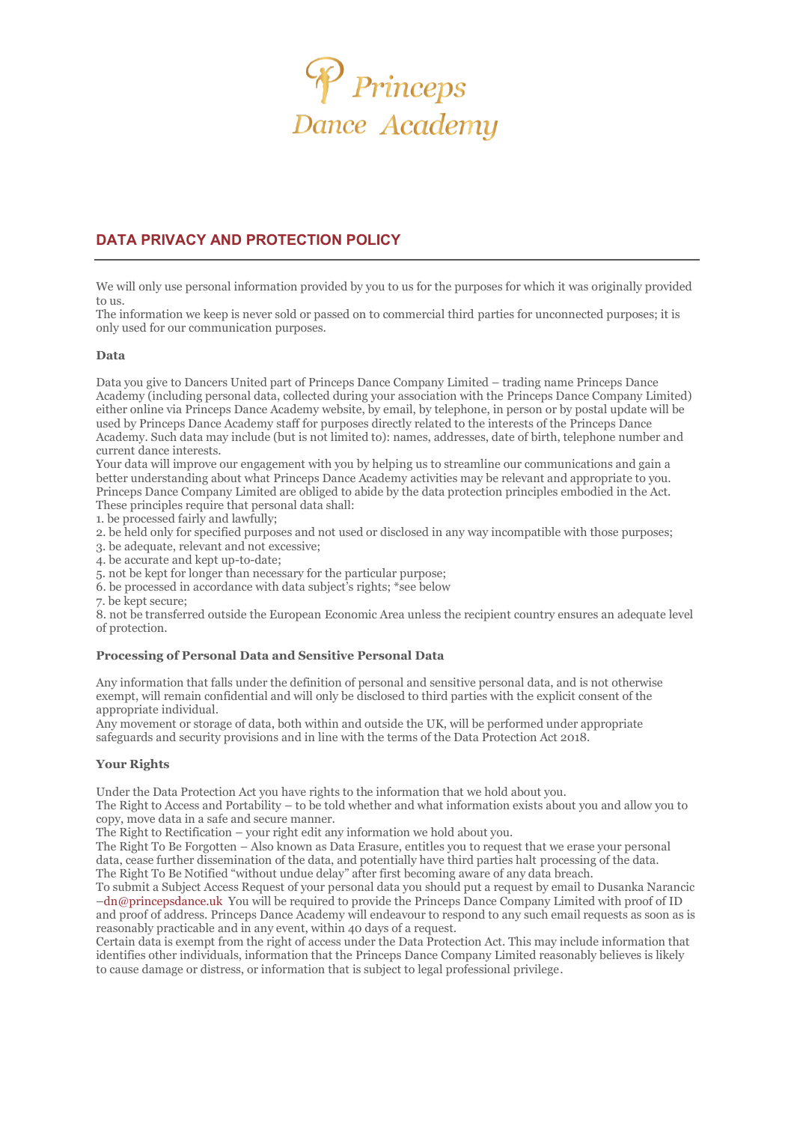

# **DATA PRIVACY AND PROTECTION POLICY**

We will only use personal information provided by you to us for the purposes for which it was originally provided to us.

The information we keep is never sold or passed on to commercial third parties for unconnected purposes; it is only used for our communication purposes.

## **Data**

Data you give to Dancers United part of Princeps Dance Company Limited – trading name Princeps Dance Academy (including personal data, collected during your association with the Princeps Dance Company Limited) either online via Princeps Dance Academy website, by email, by telephone, in person or by postal update will be used by Princeps Dance Academy staff for purposes directly related to the interests of the Princeps Dance Academy. Such data may include (but is not limited to): names, addresses, date of birth, telephone number and current dance interests.

Your data will improve our engagement with you by helping us to streamline our communications and gain a better understanding about what Princeps Dance Academy activities may be relevant and appropriate to you. Princeps Dance Company Limited are obliged to abide by the data protection principles embodied in the Act. These principles require that personal data shall:

1. be processed fairly and lawfully;

- 2. be held only for specified purposes and not used or disclosed in any way incompatible with those purposes;
- 3. be adequate, relevant and not excessive;

4. be accurate and kept up-to-date;

5. not be kept for longer than necessary for the particular purpose;

6. be processed in accordance with data subject's rights; \*see below

7. be kept secure;

8. not be transferred outside the European Economic Area unless the recipient country ensures an adequate level of protection.

### **Processing of Personal Data and Sensitive Personal Data**

Any information that falls under the definition of personal and sensitive personal data, and is not otherwise exempt, will remain confidential and will only be disclosed to third parties with the explicit consent of the appropriate individual.

Any movement or storage of data, both within and outside the UK, will be performed under appropriate safeguards and security provisions and in line with the terms of the Data Protection Act 2018.

### **Your Rights**

Under the Data Protection Act you have rights to the information that we hold about you.

The Right to Access and Portability – to be told whether and what information exists about you and allow you to copy, move data in a safe and secure manner.

The Right to Rectification – your right edit any information we hold about you.

The Right To Be Forgotten – Also known as Data Erasure, entitles you to request that we erase your personal data, cease further dissemination of the data, and potentially have third parties halt processing of the data. The Right To Be Notified "without undue delay" after first becoming aware of any data breach.

To submit a Subject Access Request of your personal data you should put a request by email to Dusanka Narancic –dn@princepsdance.uk You will be required to provide the Princeps Dance Company Limited with proof of ID and proof of address. Princeps Dance Academy will endeavour to respond to any such email requests as soon as is reasonably practicable and in any event, within 40 days of a request.

Certain data is exempt from the right of access under the Data Protection Act. This may include information that identifies other individuals, information that the Princeps Dance Company Limited reasonably believes is likely to cause damage or distress, or information that is subject to legal professional privilege.